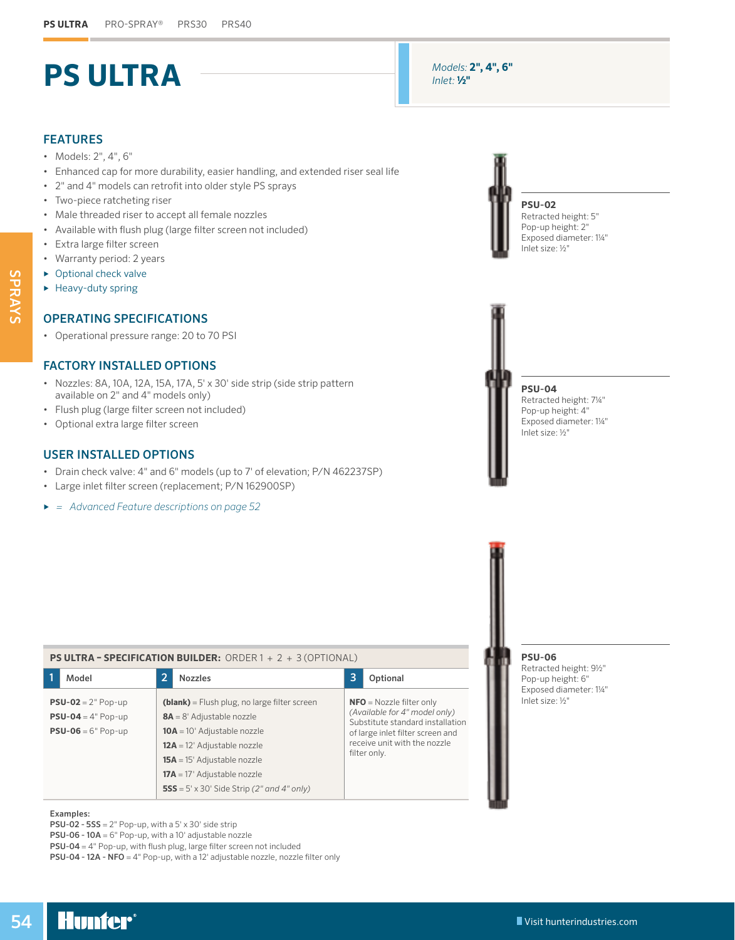# **PS ULTRA**

# FEATURES

- Models: 2", 4", 6"
- Enhanced cap for more durability, easier handling, and extended riser seal life
- 2" and 4" models can retrofit into older style PS sprays
- Two-piece ratcheting riser
- Male threaded riser to accept all female nozzles
- Available with flush plug (large filter screen not included)
- Extra large filter screen
- Warranty period: 2 years
- ► Optional check valve
- ► Heavy-duty spring

## OPERATING SPECIFICATIONS

• Operational pressure range: 20 to 70 PSI

### FACTORY INSTALLED OPTIONS

- Nozzles: 8A, 10A, 12A, 15A, 17A, 5' x 30' side strip (side strip pattern available on 2" and 4" models only)
- Flush plug (large filter screen not included)
- Optional extra large filter screen

## USER INSTALLED OPTIONS

- Drain check valve: 4" and 6" models (up to 7' of elevation; P/N 462237SP)
- Large inlet filter screen (replacement; P/N 162900SP)
- *► = Advanced Feature descriptions on page [52](#page--1-0)*

| <b>PS ULTRA - SPECIFICATION BUILDER:</b> ORDER $1 + 2 + 3$ (OPTIONAL) |                                                                                           |                                                                                                                                                                                                                                                                             |   |                                                                                                                                                                                     |  |  |  |  |  |
|-----------------------------------------------------------------------|-------------------------------------------------------------------------------------------|-----------------------------------------------------------------------------------------------------------------------------------------------------------------------------------------------------------------------------------------------------------------------------|---|-------------------------------------------------------------------------------------------------------------------------------------------------------------------------------------|--|--|--|--|--|
|                                                                       | Model                                                                                     | <b>Nozzles</b>                                                                                                                                                                                                                                                              | 3 | Optional                                                                                                                                                                            |  |  |  |  |  |
|                                                                       | <b>PSU-02</b> = $2"$ Pop-up<br><b>PSU-04</b> = $4"$ Pop-up<br><b>PSU-06</b> = $6"$ Pop-up | (blank) = Flush plug, no large filter screen<br>$8A = 8'$ Adjustable nozzle<br>$10A = 10'$ Adjustable nozzle<br>$12A = 12'$ Adjustable nozzle<br>$15A = 15'$ Adjustable nozzle<br>$17A = 17'$ Adjustable nozzle<br><b>555</b> = $5' \times 30'$ Side Strip (2" and 4" only) |   | $NFO = Nozzle filter only$<br>(Available for 4" model only)<br>Substitute standard installation<br>of large inlet filter screen and<br>receive unit with the nozzle<br>filter only. |  |  |  |  |  |



**PSU-02 - 5SS** =  $2$ " Pop-up, with a  $5' \times 30'$  side strip

PSU-06 - 10A = 6" Pop-up, with a 10' adjustable nozzle

PSU-04 = 4" Pop-up, with flush plug, large filter screen not included

PSU-04 - 12A - NFO = 4" Pop-up, with a 12' adjustable nozzle, nozzle filter only



**PSU-02** Retracted height: 5" Pop-up height: 2" Exposed diameter: 1¼"

**PSU-04** Retracted height: 7¼" Pop-up height: 4" Exposed diameter: 1¼" Inlet size: ½"



Retracted height: 9½" Pop-up height: 6" Exposed diameter: 1¼" Inlet size: ½"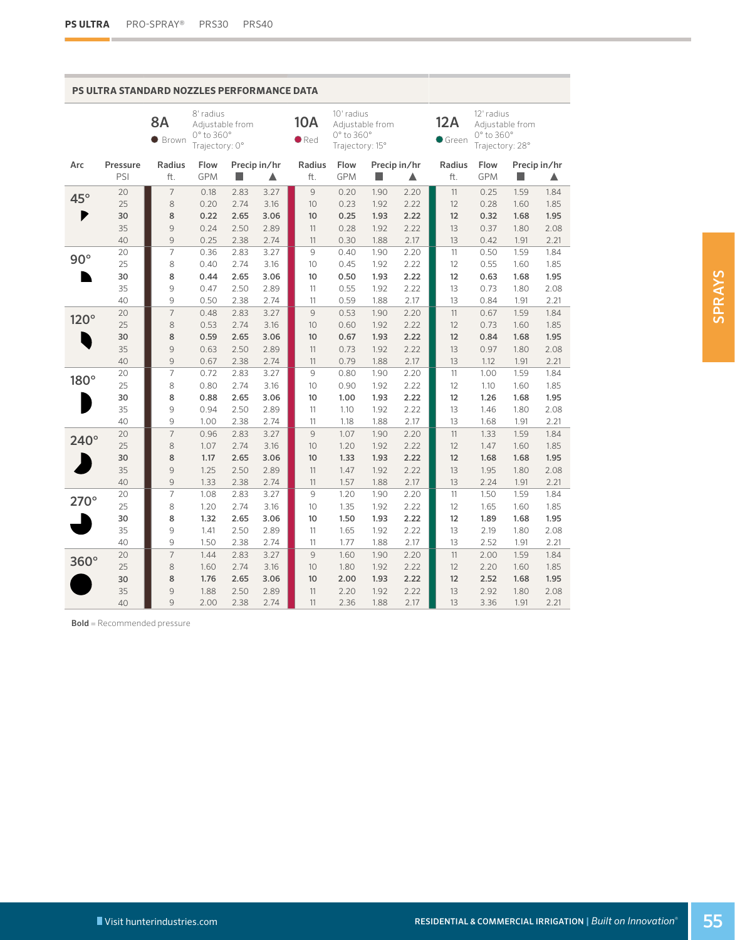**College** 

#### **PS ULTRA STANDARD NOZZLES PERFORMANCE DATA**

|              |          | <b>8A</b><br><b>Brown</b> | 8' radius<br>Adjustable from<br>0° to 360°<br>Trajectory: 0° |              |              | <b>10A</b><br>$\bullet$ Red | 10' radius<br>0° to 360°<br>Trajectory: 15° | Adjustable from |              | 12A<br>$\bullet$ Green | 12' radius<br>0° to 360°<br>Trajectory: 28° | Adjustable from |              |
|--------------|----------|---------------------------|--------------------------------------------------------------|--------------|--------------|-----------------------------|---------------------------------------------|-----------------|--------------|------------------------|---------------------------------------------|-----------------|--------------|
| Arc          | Pressure | <b>Radius</b>             | Flow                                                         |              | Precip in/hr | <b>Radius</b>               | Flow                                        | Precip in/hr    |              | Radius                 | Flow                                        |                 | Precip in/hr |
|              | PSI      | ft.                       | <b>GPM</b>                                                   | H            | ▲            | ft.                         | <b>GPM</b>                                  | p.              | ▲            | ft.                    | <b>GPM</b>                                  | <b>STEP</b>     | ▲            |
| $45^{\circ}$ | 20       | $\overline{7}$            | 0.18                                                         | 2.83         | 3.27         | 9                           | 0.20                                        | 1.90            | 2.20         | 11                     | 0.25                                        | 1.59            | 1.84         |
|              | 25       | 8                         | 0.20                                                         | 2.74         | 3.16         | 10                          | 0.23                                        | 1.92            | 2.22         | 12                     | 0.28                                        | 1.60            | 1.85         |
| ₱            | 30       | 8                         | 0.22                                                         | 2.65         | 3.06         | 10                          | 0.25                                        | 1.93            | 2.22         | 12                     | 0.32                                        | 1.68            | 1.95         |
|              | 35       | 9                         | 0.24                                                         | 2.50         | 2.89         | 11                          | 0.28                                        | 1.92            | 2.22         | 13                     | 0.37                                        | 1.80            | 2.08         |
|              | 40       | $\mathcal{G}$             | 0.25                                                         | 2.38         | 2.74         | 11                          | 0.30                                        | 1.88            | 2.17         | 13                     | 0.42                                        | 1.91            | 2.21         |
| $90^\circ$   | 20       | $\overline{7}$            | 0.36                                                         | 2.83         | 3.27         | 9                           | 0.40                                        | 1.90            | 2.20         | 11                     | 0.50                                        | 1.59            | 1.84         |
|              | 25       | 8                         | 0.40                                                         | 2.74         | 3.16         | 10                          | 0.45                                        | 1.92            | 2.22         | 12                     | 0.55                                        | 1.60            | 1.85         |
|              | 30       | 8                         | 0.44                                                         | 2.65         | 3.06         | 10                          | 0.50                                        | 1.93            | 2.22         | 12                     | 0.63                                        | 1.68            | 1.95         |
|              | 35       | 9<br>9                    | 0.47<br>0.50                                                 | 2.50         | 2.89         | 11                          | 0.55                                        | 1.92            | 2.22<br>2.17 | 13<br>13               | 0.73                                        | 1.80            | 2.08<br>2.21 |
|              | 40<br>20 | $\overline{7}$            | 0.48                                                         | 2.38<br>2.83 | 2.74<br>3.27 | 11<br>9                     | 0.59<br>0.53                                | 1.88<br>1.90    | 2.20         | 11                     | 0.84<br>0.67                                | 1.91<br>1.59    | 1.84         |
| $120^\circ$  | 25       | 8                         | 0.53                                                         | 2.74         | 3.16         | 10                          | 0.60                                        | 1.92            | 2.22         | 12                     | 0.73                                        | 1.60            | 1.85         |
|              | 30       | 8                         | 0.59                                                         | 2.65         | 3.06         | 10                          | 0.67                                        | 1.93            | 2.22         | 12                     | 0.84                                        | 1.68            | 1.95         |
|              | 35       | 9                         | 0.63                                                         | 2.50         | 2.89         | 11                          | 0.73                                        | 1.92            | 2.22         | 13                     | 0.97                                        | 1.80            | 2.08         |
|              | 40       | 9                         | 0.67                                                         | 2.38         | 2.74         | 11                          | 0.79                                        | 1.88            | 2.17         | 13                     | 1.12                                        | 1.91            | 2.21         |
|              | 20       | $\overline{7}$            | 0.72                                                         | 2.83         | 3.27         | 9                           | 0.80                                        | 1.90            | 2.20         | 11                     | 1.00                                        | 1.59            | 1.84         |
| 180°         | 25       | 8                         | 0.80                                                         | 2.74         | 3.16         | 10                          | 0.90                                        | 1.92            | 2.22         | 12                     | 1.10                                        | 1.60            | 1.85         |
|              | 30       | 8                         | 0.88                                                         | 2.65         | 3.06         | 10                          | 1.00                                        | 1.93            | 2.22         | 12                     | 1.26                                        | 1.68            | 1.95         |
|              | 35       | 9                         | 0.94                                                         | 2.50         | 2.89         | 11                          | 1.10                                        | 1.92            | 2.22         | 13                     | 1.46                                        | 1.80            | 2.08         |
|              | 40       | 9                         | 1.00                                                         | 2.38         | 2.74         | 11                          | 1.18                                        | 1.88            | 2.17         | 13                     | 1.68                                        | 1.91            | 2.21         |
|              | 20       | $\overline{7}$            | 0.96                                                         | 2.83         | 3.27         | 9                           | 1.07                                        | 1.90            | 2.20         | 11                     | 1.33                                        | 1.59            | 1.84         |
| $240^\circ$  | 25       | 8                         | 1.07                                                         | 2.74         | 3.16         | 10                          | 1.20                                        | 1.92            | 2.22         | 12                     | 1.47                                        | 1.60            | 1.85         |
|              | 30       | 8                         | 1.17                                                         | 2.65         | 3.06         | 10                          | 1.33                                        | 1.93            | 2.22         | 12                     | 1.68                                        | 1.68            | 1.95         |
|              | 35       | $\mathcal{G}$             | 1.25                                                         | 2.50         | 2.89         | 11                          | 1.47                                        | 1.92            | 2.22         | 13                     | 1.95                                        | 1.80            | 2.08         |
|              | 40       | 9                         | 1.33                                                         | 2.38         | 2.74         | 11                          | 1.57                                        | 1.88            | 2.17         | 13                     | 2.24                                        | 1.91            | 2.21         |
|              | 20       | $\overline{7}$            | 1.08                                                         | 2.83         | 3.27         | 9                           | 1.20                                        | 1.90            | 2.20         | 11                     | 1.50                                        | 1.59            | 1.84         |
| $270^\circ$  | 25       | 8                         | 1.20                                                         | 2.74         | 3.16         | 10                          | 1.35                                        | 1.92            | 2.22         | 12                     | 1.65                                        | 1.60            | 1.85         |
|              | 30       | 8                         | 1.32                                                         | 2.65         | 3.06         | 10                          | 1.50                                        | 1.93            | 2.22         | 12                     | 1.89                                        | 1.68            | 1.95         |
|              | 35       | 9                         | 1.41                                                         | 2.50         | 2.89         | 11                          | 1.65                                        | 1.92            | 2.22         | 13                     | 2.19                                        | 1.80            | 2.08         |
|              | 40       | 9                         | 1.50                                                         | 2.38         | 2.74         | 11                          | 1.77                                        | 1.88            | 2.17         | 13                     | 2.52                                        | 1.91            | 2.21         |
| 360°         | 20       | $\overline{7}$            | 1.44                                                         | 2.83         | 3.27         | 9                           | 1.60                                        | 1.90            | 2.20         | 11                     | 2.00                                        | 1.59            | 1.84         |
|              | 25       | 8                         | 1.60                                                         | 2.74         | 3.16         | 10                          | 1.80                                        | 1.92            | 2.22         | 12                     | 2.20                                        | 1.60            | 1.85         |
|              | 30       | 8                         | 1.76                                                         | 2.65         | 3.06         | 10                          | 2.00                                        | 1.93            | 2.22         | 12                     | 2.52                                        | 1.68            | 1.95         |
|              | 35       | $\mathcal{G}$             | 1.88                                                         | 2.50         | 2.89         | 11                          | 2.20                                        | 1.92            | 2.22         | 13                     | 2.92                                        | 1.80            | 2.08         |
|              | 40       | 9                         | 2.00                                                         | 2.38         | 2.74         | 11                          | 2.36                                        | 1.88            | 2.17         | 13                     | 3.36                                        | 1.91            | 2.21         |

Bold = Recommended pressure